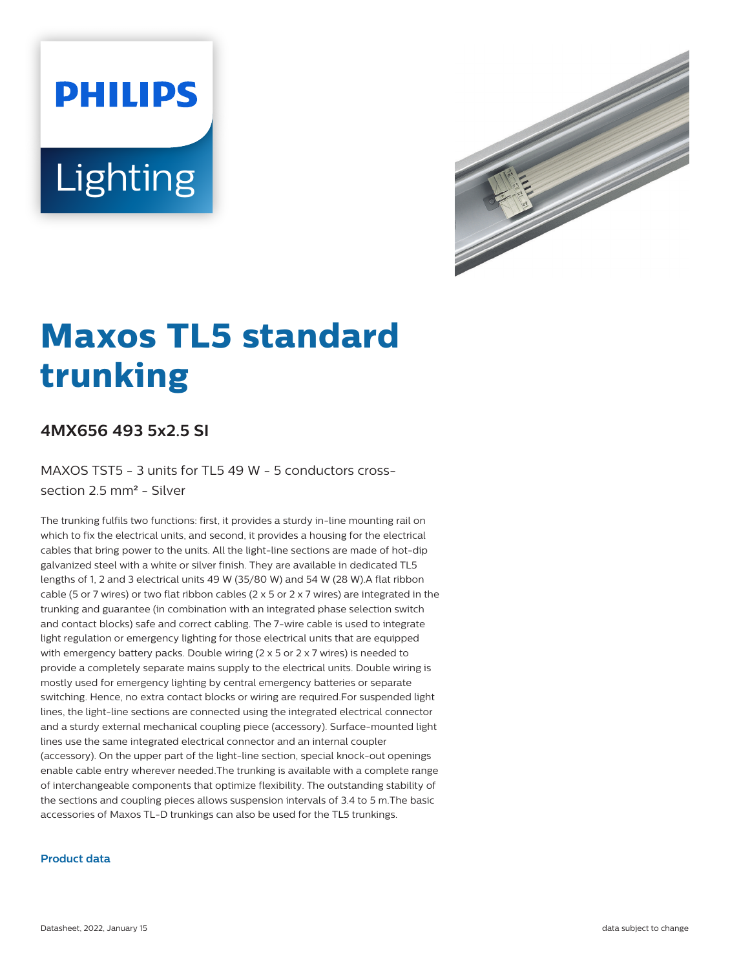# **PHILIPS** Lighting



# **Maxos TL5 standard trunking**

## **4MX656 493 5x2.5 SI**

MAXOS TST5 - 3 units for TL5 49 W - 5 conductors crosssection 2.5 mm² - Silver

The trunking fulfils two functions: first, it provides a sturdy in-line mounting rail on which to fix the electrical units, and second, it provides a housing for the electrical cables that bring power to the units. All the light-line sections are made of hot-dip galvanized steel with a white or silver finish. They are available in dedicated TL5 lengths of 1, 2 and 3 electrical units 49 W (35/80 W) and 54 W (28 W).A flat ribbon cable (5 or 7 wires) or two flat ribbon cables (2  $\times$  5 or 2  $\times$  7 wires) are integrated in the trunking and guarantee (in combination with an integrated phase selection switch and contact blocks) safe and correct cabling. The 7-wire cable is used to integrate light regulation or emergency lighting for those electrical units that are equipped with emergency battery packs. Double wiring (2 x 5 or 2 x 7 wires) is needed to provide a completely separate mains supply to the electrical units. Double wiring is mostly used for emergency lighting by central emergency batteries or separate switching. Hence, no extra contact blocks or wiring are required.For suspended light lines, the light-line sections are connected using the integrated electrical connector and a sturdy external mechanical coupling piece (accessory). Surface-mounted light lines use the same integrated electrical connector and an internal coupler (accessory). On the upper part of the light-line section, special knock-out openings enable cable entry wherever needed.The trunking is available with a complete range of interchangeable components that optimize flexibility. The outstanding stability of the sections and coupling pieces allows suspension intervals of 3.4 to 5 m.The basic accessories of Maxos TL-D trunkings can also be used for the TL5 trunkings.

#### **Product data**